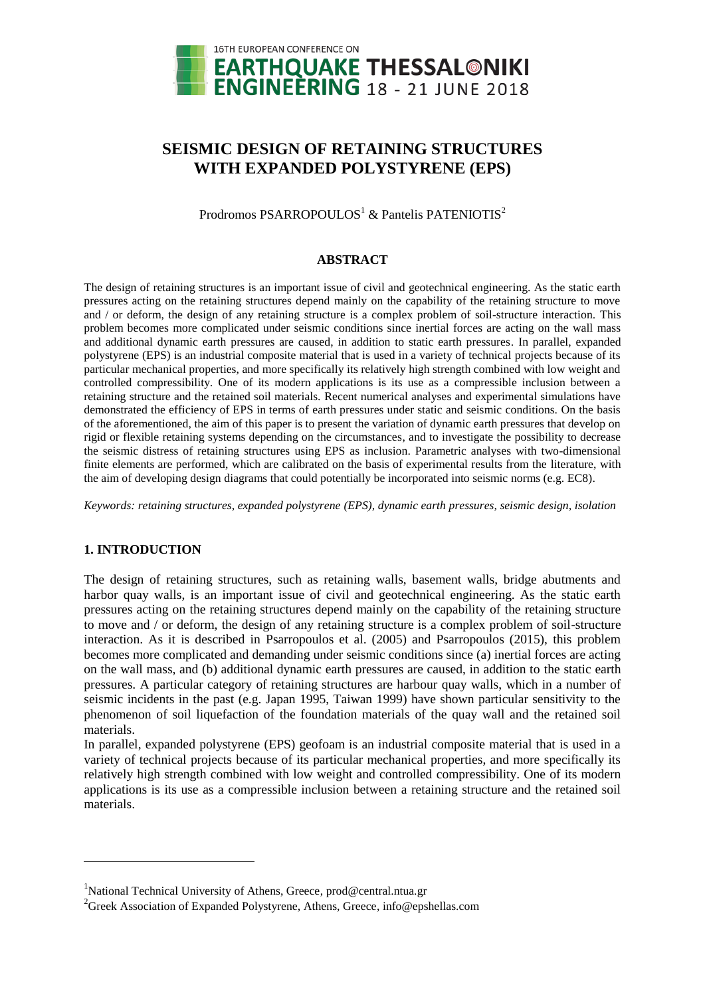

# **SEISMIC DESIGN OF RETAINING STRUCTURES WITH EXPANDED POLYSTYRENE (EPS)**

Prodromos PSARROPOULOS<sup>1</sup> & Pantelis PATENIOTIS<sup>2</sup>

### **ABSTRACT**

The design of retaining structures is an important issue of civil and geotechnical engineering. As the static earth pressures acting on the retaining structures depend mainly on the capability of the retaining structure to move and / or deform, the design of any retaining structure is a complex problem of soil-structure interaction. This problem becomes more complicated under seismic conditions since inertial forces are acting on the wall mass and additional dynamic earth pressures are caused, in addition to static earth pressures. In parallel, expanded polystyrene (EPS) is an industrial composite material that is used in a variety of technical projects because of its particular mechanical properties, and more specifically its relatively high strength combined with low weight and controlled compressibility. One of its modern applications is its use as a compressible inclusion between a retaining structure and the retained soil materials. Recent numerical analyses and experimental simulations have demonstrated the efficiency of EPS in terms of earth pressures under static and seismic conditions. On the basis of the aforementioned, the aim of this paper is to present the variation of dynamic earth pressures that develop on rigid or flexible retaining systems depending on the circumstances, and to investigate the possibility to decrease the seismic distress of retaining structures using EPS as inclusion. Parametric analyses with two-dimensional finite elements are performed, which are calibrated on the basis of experimental results from the literature, with the aim of developing design diagrams that could potentially be incorporated into seismic norms (e.g. EC8).

*Keywords: retaining structures, expanded polystyrene (EPS), dynamic earth pressures, seismic design, isolation*

## **1. INTRODUCTION**

l

The design of retaining structures, such as retaining walls, basement walls, bridge abutments and harbor quay walls, is an important issue of civil and geotechnical engineering. As the static earth pressures acting on the retaining structures depend mainly on the capability of the retaining structure to move and / or deform, the design of any retaining structure is a complex problem of soil-structure interaction. As it is described in Psarropoulos et al. (2005) and Psarropoulos (2015), this problem becomes more complicated and demanding under seismic conditions since (a) inertial forces are acting on the wall mass, and (b) additional dynamic earth pressures are caused, in addition to the static earth pressures. A particular category of retaining structures are harbour quay walls, which in a number of seismic incidents in the past (e.g. Japan 1995, Taiwan 1999) have shown particular sensitivity to the phenomenon of soil liquefaction of the foundation materials of the quay wall and the retained soil materials.

In parallel, expanded polystyrene (EPS) geofoam is an industrial composite material that is used in a variety of technical projects because of its particular mechanical properties, and more specifically its relatively high strength combined with low weight and controlled compressibility. One of its modern applications is its use as a compressible inclusion between a retaining structure and the retained soil materials.

<sup>&</sup>lt;sup>1</sup>National Technical University of Athens, Greece, prod@central.ntua.gr

<sup>&</sup>lt;sup>2</sup>Greek Association of Expanded Polystyrene, Athens, Greece, info@epshellas.com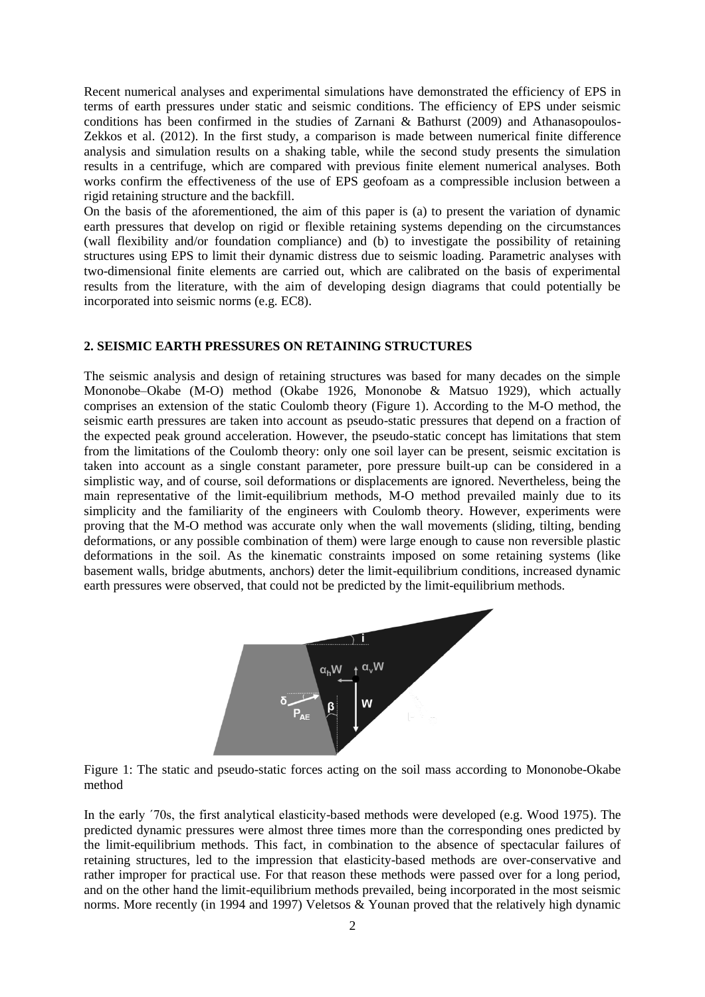Recent numerical analyses and experimental simulations have demonstrated the efficiency of EPS in terms of earth pressures under static and seismic conditions. The efficiency of EPS under seismic conditions has been confirmed in the studies of Zarnani & Bathurst (2009) and Athanasopoulos-Zekkos et al. (2012). In the first study, a comparison is made between numerical finite difference analysis and simulation results on a shaking table, while the second study presents the simulation results in a centrifuge, which are compared with previous finite element numerical analyses. Both works confirm the effectiveness of the use of EPS geofoam as a compressible inclusion between a rigid retaining structure and the backfill.

On the basis of the aforementioned, the aim of this paper is (a) to present the variation of dynamic earth pressures that develop on rigid or flexible retaining systems depending on the circumstances (wall flexibility and/or foundation compliance) and (b) to investigate the possibility of retaining structures using EPS to limit their dynamic distress due to seismic loading. Parametric analyses with two-dimensional finite elements are carried out, which are calibrated on the basis of experimental results from the literature, with the aim of developing design diagrams that could potentially be incorporated into seismic norms (e.g. EC8).

### **2. SEISMIC EARTH PRESSURES ON RETAINING STRUCTURES**

The seismic analysis and design of retaining structures was based for many decades on the simple Mononobe–Okabe (M-O) method (Okabe 1926, Mononobe & Matsuo 1929), which actually comprises an extension of the static Coulomb theory (Figure 1). According to the M-O method, the seismic earth pressures are taken into account as pseudo-static pressures that depend on a fraction of the expected peak ground acceleration. However, the pseudo-static concept has limitations that stem from the limitations of the Coulomb theory: only one soil layer can be present, seismic excitation is taken into account as a single constant parameter, pore pressure built-up can be considered in a simplistic way, and of course, soil deformations or displacements are ignored. Nevertheless, being the main representative of the limit-equilibrium methods, M-O method prevailed mainly due to its simplicity and the familiarity of the engineers with Coulomb theory. However, experiments were proving that the M-O method was accurate only when the wall movements (sliding, tilting, bending deformations, or any possible combination of them) were large enough to cause non reversible plastic deformations in the soil. As the kinematic constraints imposed on some retaining systems (like basement walls, bridge abutments, anchors) deter the limit-equilibrium conditions, increased dynamic earth pressures were observed, that could not be predicted by the limit-equilibrium methods.



Figure 1: The static and pseudo-static forces acting on the soil mass according to Mononobe-Okabe method

In the early ΄70s, the first analytical elasticity-based methods were developed (e.g. Wood 1975). The predicted dynamic pressures were almost three times more than the corresponding ones predicted by the limit-equilibrium methods. This fact, in combination to the absence of spectacular failures of retaining structures, led to the impression that elasticity-based methods are over-conservative and rather improper for practical use. For that reason these methods were passed over for a long period, and on the other hand the limit-equilibrium methods prevailed, being incorporated in the most seismic norms. More recently (in 1994 and 1997) Veletsos  $\&$  Younan proved that the relatively high dynamic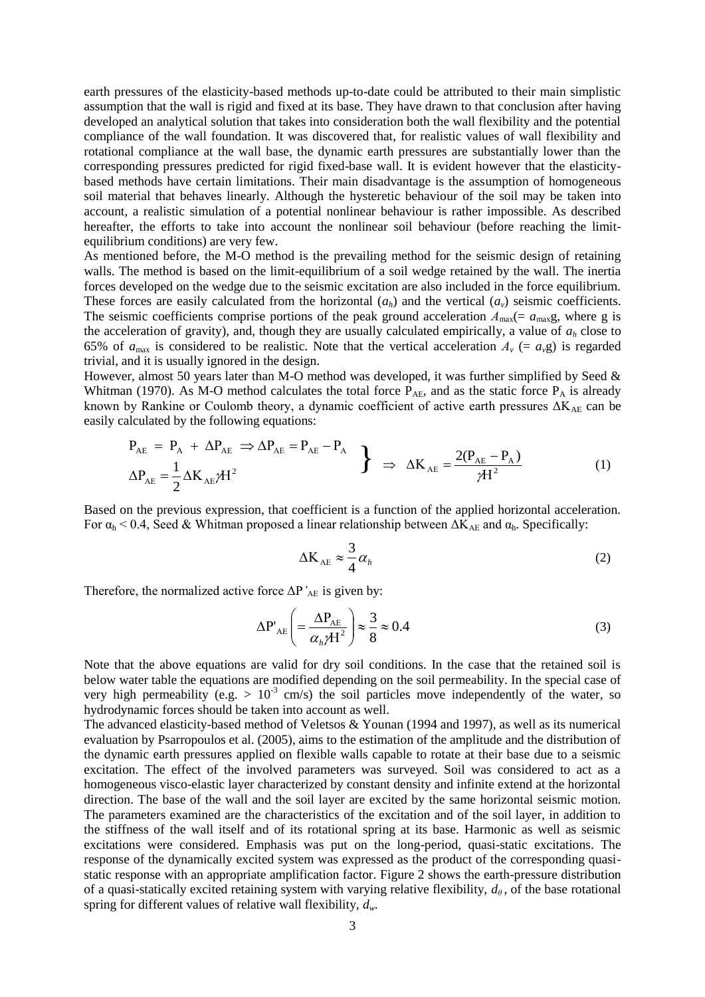earth pressures of the elasticity-based methods up-to-date could be attributed to their main simplistic assumption that the wall is rigid and fixed at its base. They have drawn to that conclusion after having developed an analytical solution that takes into consideration both the wall flexibility and the potential compliance of the wall foundation. It was discovered that, for realistic values of wall flexibility and rotational compliance at the wall base, the dynamic earth pressures are substantially lower than the corresponding pressures predicted for rigid fixed-base wall. It is evident however that the elasticitybased methods have certain limitations. Their main disadvantage is the assumption of homogeneous soil material that behaves linearly. Although the hysteretic behaviour of the soil may be taken into account, a realistic simulation of a potential nonlinear behaviour is rather impossible. As described hereafter, the efforts to take into account the nonlinear soil behaviour (before reaching the limitequilibrium conditions) are very few.

As mentioned before, the M-O method is the prevailing method for the seismic design of retaining walls. The method is based on the limit-equilibrium of a soil wedge retained by the wall. The inertia forces developed on the wedge due to the seismic excitation are also included in the force equilibrium. These forces are easily calculated from the horizontal  $(a_h)$  and the vertical  $(a_v)$  seismic coefficients. The seismic coefficients comprise portions of the peak ground acceleration  $A_{\text{max}}(= a_{\text{max}} g$ , where g is the acceleration of gravity), and, though they are usually calculated empirically, a value of *a<sup>h</sup>* close to 65% of  $a_{\text{max}}$  is considered to be realistic. Note that the vertical acceleration  $A_v$  (=  $a_v$ g) is regarded trivial, and it is usually ignored in the design.

However, almost 50 years later than M-O method was developed, it was further simplified by Seed & Whitman (1970). As M-O method calculates the total force  $\overline{P}_{AE}$ , and as the static force  $P_A$  is already known by Rankine or Coulomb theory, a dynamic coefficient of active earth pressures  $\Delta K_{AE}$  can be easily calculated by the following equations:

$$
P_{AE} = P_A + \Delta P_{AE} \Rightarrow \Delta P_{AE} = P_{AE} - P_A
$$
  
\n
$$
\Delta P_{AE} = \frac{1}{2} \Delta K_{AE} \mathcal{H}^2
$$
 (1)

Based on the previous expression, that coefficient is a function of the applied horizontal acceleration. For  $\alpha_h$  < 0.4, Seed & Whitman proposed a linear relationship between  $\Delta K_{AE}$  and  $\alpha_h$ . Specifically:

$$
\Delta K_{AE} \approx \frac{3}{4} \alpha_h \tag{2}
$$

Therefore, the normalized active force  $\Delta P'_{AE}$  is given by:

$$
\Delta P'_{AE} = \frac{\Delta P_{AE}}{\alpha_h \gamma H^2} \approx \frac{3}{8} \approx 0.4
$$
 (3)

Note that the above equations are valid for dry soil conditions. In the case that the retained soil is below water table the equations are modified depending on the soil permeability. In the special case of very high permeability (e.g.  $> 10^{-3}$  cm/s) the soil particles move independently of the water, so hydrodynamic forces should be taken into account as well.

The advanced elasticity-based method of Veletsos & Younan (1994 and 1997), as well as its numerical evaluation by Psarropoulos et al. (2005), aims to the estimation of the amplitude and the distribution of the dynamic earth pressures applied on flexible walls capable to rotate at their base due to a seismic excitation. The effect of the involved parameters was surveyed. Soil was considered to act as a homogeneous visco-elastic layer characterized by constant density and infinite extend at the horizontal direction. The base of the wall and the soil layer are excited by the same horizontal seismic motion. The parameters examined are the characteristics of the excitation and of the soil layer, in addition to the stiffness of the wall itself and of its rotational spring at its base. Harmonic as well as seismic excitations were considered. Emphasis was put on the long-period, quasi-static excitations. The response of the dynamically excited system was expressed as the product of the corresponding quasistatic response with an appropriate amplification factor. Figure 2 shows the earth-pressure distribution of a quasi-statically excited retaining system with varying relative flexibility, *dθ* , of the base rotational spring for different values of relative wall flexibility, *dw*.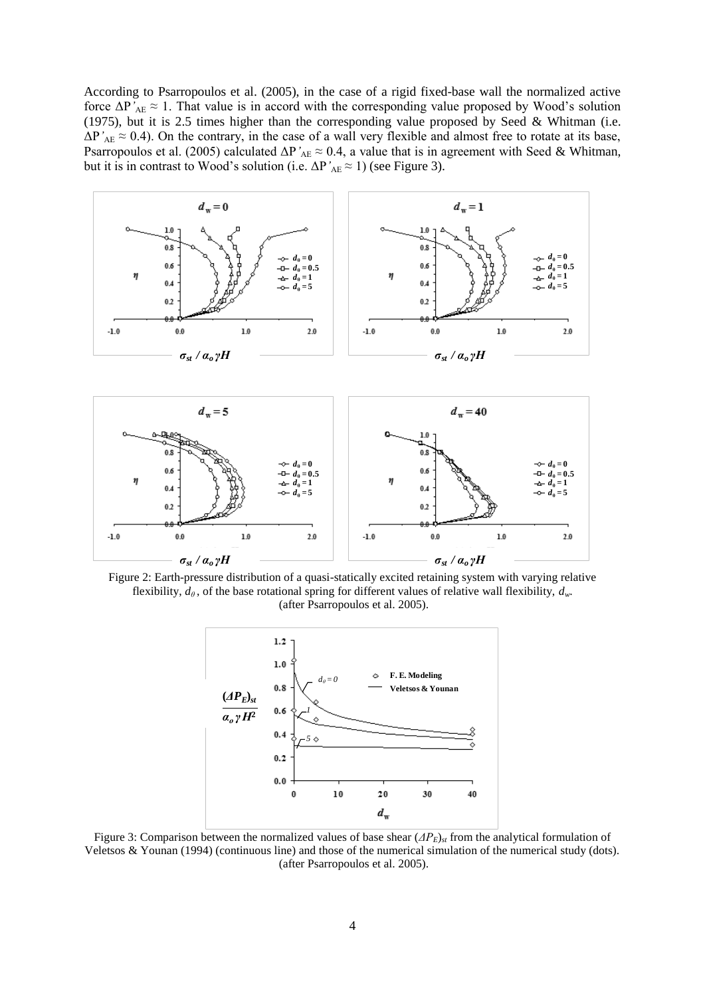According to Psarropoulos et al. (2005), in the case of a rigid fixed-base wall the normalized active force  $\Delta P'_{AE} \approx 1$ . That value is in accord with the corresponding value proposed by Wood's solution (1975), but it is 2.5 times higher than the corresponding value proposed by Seed & Whitman (i.e.  $\Delta P'_{AE} \approx 0.4$ ). On the contrary, in the case of a wall very flexible and almost free to rotate at its base, Psarropoulos et al. (2005) calculated  $\Delta P'_{AE} \approx 0.4$ , a value that is in agreement with Seed & Whitman, but it is in contrast to Wood's solution (i.e.  $\Delta P'_{AE} \approx 1$ ) (see Figure 3).





flexibility,  $d_{\theta}$ , of the base rotational spring for different values of relative wall flexibility,  $d_{w}$ . (after Psarropoulos et al. 2005).



Figure 3: Comparison between the normalized values of base shear (*ΔΡE*)*st* from the analytical formulation of Veletsos & Younan (1994) (continuous line) and those of the numerical simulation of the numerical study (dots). (after Psarropoulos et al. 2005).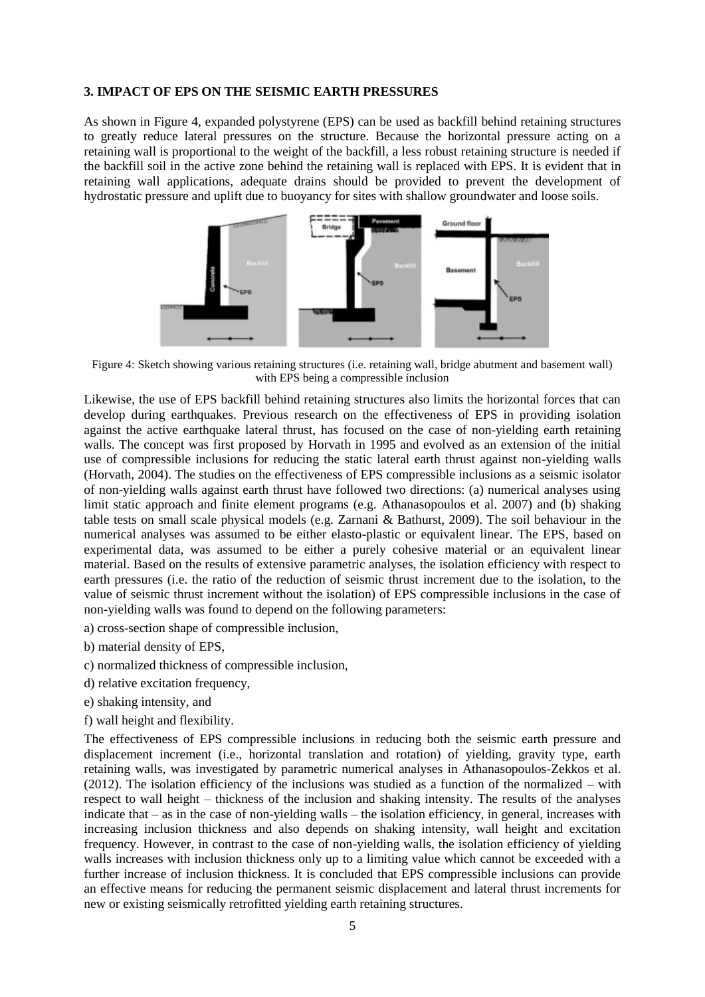### **3. IMPACT OF EPS ON THE SEISMIC EARTH PRESSURES**

As shown in Figure 4, expanded polystyrene (EPS) can be used as backfill behind retaining structures to greatly reduce lateral pressures on the structure. Because the horizontal pressure acting on a retaining wall is proportional to the weight of the backfill, a less robust retaining structure is needed if the backfill soil in the active zone behind the retaining wall is replaced with EPS. It is evident that in retaining wall applications, adequate drains should be provided to prevent the development of hydrostatic pressure and uplift due to buoyancy for sites with shallow groundwater and loose soils.



Figure 4: Sketch showing various retaining structures (i.e. retaining wall, bridge abutment and basement wall) with EPS being a compressible inclusion

Likewise, the use of EPS backfill behind retaining structures also limits the horizontal forces that can develop during earthquakes. Previous research on the effectiveness of EPS in providing isolation against the active earthquake lateral thrust, has focused on the case of non-yielding earth retaining walls. The concept was first proposed by Horvath in 1995 and evolved as an extension of the initial use of compressible inclusions for reducing the static lateral earth thrust against non-yielding walls (Horvath, 2004). The studies on the effectiveness of EPS compressible inclusions as a seismic isolator of non-yielding walls against earth thrust have followed two directions: (a) numerical analyses using limit static approach and finite element programs (e.g. Athanasopoulos et al. 2007) and (b) shaking table tests on small scale physical models (e.g. Zarnani & Bathurst, 2009). The soil behaviour in the numerical analyses was assumed to be either elasto-plastic or equivalent linear. The EPS, based on experimental data, was assumed to be either a purely cohesive material or an equivalent linear material. Based on the results of extensive parametric analyses, the isolation efficiency with respect to earth pressures (i.e. the ratio of the reduction of seismic thrust increment due to the isolation, to the value of seismic thrust increment without the isolation) of EPS compressible inclusions in the case of non-yielding walls was found to depend on the following parameters:

- a) cross-section shape of compressible inclusion,
- b) material density of EPS,
- c) normalized thickness of compressible inclusion,
- d) relative excitation frequency,
- e) shaking intensity, and
- f) wall height and flexibility.

The effectiveness of EPS compressible inclusions in reducing both the seismic earth pressure and displacement increment (i.e., horizontal translation and rotation) of yielding, gravity type, earth retaining walls, was investigated by parametric numerical analyses in Athanasopoulos-Zekkos et al. (2012). The isolation efficiency of the inclusions was studied as a function of the normalized – with respect to wall height – thickness of the inclusion and shaking intensity. The results of the analyses indicate that – as in the case of non-yielding walls – the isolation efficiency, in general, increases with increasing inclusion thickness and also depends on shaking intensity, wall height and excitation frequency. However, in contrast to the case of non-yielding walls, the isolation efficiency of yielding walls increases with inclusion thickness only up to a limiting value which cannot be exceeded with a further increase of inclusion thickness. It is concluded that EPS compressible inclusions can provide an effective means for reducing the permanent seismic displacement and lateral thrust increments for new or existing seismically retrofitted yielding earth retaining structures.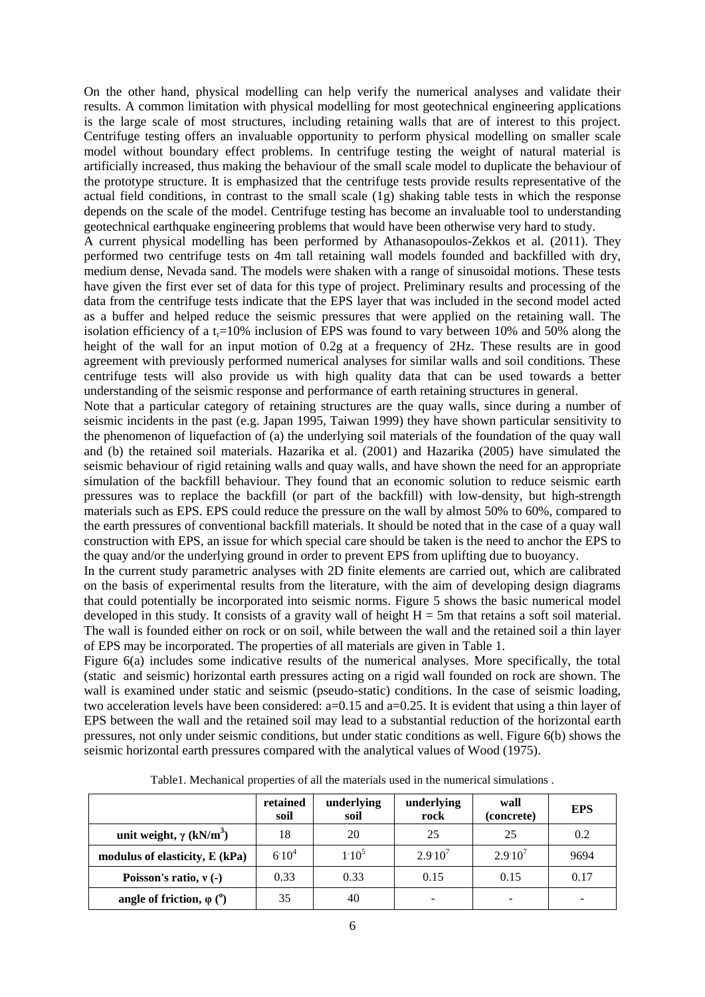On the other hand, physical modelling can help verify the numerical analyses and validate their results. A common limitation with physical modelling for most geotechnical engineering applications is the large scale of most structures, including retaining walls that are of interest to this project. Centrifuge testing offers an invaluable opportunity to perform physical modelling on smaller scale model without boundary effect problems. In centrifuge testing the weight of natural material is artificially increased, thus making the behaviour of the small scale model to duplicate the behaviour of the prototype structure. It is emphasized that the centrifuge tests provide results representative of the actual field conditions, in contrast to the small scale (1g) shaking table tests in which the response depends on the scale of the model. Centrifuge testing has become an invaluable tool to understanding geotechnical earthquake engineering problems that would have been otherwise very hard to study.

A current physical modelling has been performed by Athanasopoulos-Zekkos et al. (2011). They performed two centrifuge tests on 4m tall retaining wall models founded and backfilled with dry, medium dense, Nevada sand. The models were shaken with a range of sinusoidal motions. These tests have given the first ever set of data for this type of project. Preliminary results and processing of the data from the centrifuge tests indicate that the EPS layer that was included in the second model acted as a buffer and helped reduce the seismic pressures that were applied on the retaining wall. The isolation efficiency of a t<sub>r</sub>=10% inclusion of EPS was found to vary between 10% and 50% along the height of the wall for an input motion of 0.2g at a frequency of 2Hz. These results are in good agreement with previously performed numerical analyses for similar walls and soil conditions. These centrifuge tests will also provide us with high quality data that can be used towards a better understanding of the seismic response and performance of earth retaining structures in general.

Note that a particular category of retaining structures are the quay walls, since during a number of seismic incidents in the past (e.g. Japan 1995, Taiwan 1999) they have shown particular sensitivity to the phenomenon of liquefaction of (a) the underlying soil materials of the foundation of the quay wall and (b) the retained soil materials. Hazarika et al. (2001) and Hazarika (2005) have simulated the seismic behaviour of rigid retaining walls and quay walls, and have shown the need for an appropriate simulation of the backfill behaviour. They found that an economic solution to reduce seismic earth pressures was to replace the backfill (or part of the backfill) with low-density, but high-strength materials such as EPS. EPS could reduce the pressure on the wall by almost 50% to 60%, compared to the earth pressures of conventional backfill materials. It should be noted that in the case of a quay wall construction with EPS, an issue for which special care should be taken is the need to anchor the EPS to the quay and/or the underlying ground in order to prevent EPS from uplifting due to buoyancy.

In the current study parametric analyses with 2D finite elements are carried out, which are calibrated on the basis of experimental results from the literature, with the aim of developing design diagrams that could potentially be incorporated into seismic norms. Figure 5 shows the basic numerical model developed in this study. It consists of a gravity wall of height  $H = 5m$  that retains a soft soil material. The wall is founded either on rock or on soil, while between the wall and the retained soil a thin layer of EPS may be incorporated. The properties of all materials are given in Table 1.

Figure 6(a) includes some indicative results of the numerical analyses. More specifically, the total (static and seismic) horizontal earth pressures acting on a rigid wall founded on rock are shown. The wall is examined under static and seismic (pseudo-static) conditions. In the case of seismic loading, two acceleration levels have been considered: a=0.15 and a=0.25. It is evident that using a thin layer of EPS between the wall and the retained soil may lead to a substantial reduction of the horizontal earth pressures, not only under seismic conditions, but under static conditions as well. Figure 6(b) shows the seismic horizontal earth pressures compared with the analytical values of Wood (1975).

|                                            | retained<br>soil | underlying<br>soil | underlying<br>rock | wall<br>(concrete) | <b>EPS</b> |
|--------------------------------------------|------------------|--------------------|--------------------|--------------------|------------|
| unit weight, $\gamma$ (kN/m <sup>3</sup> ) | 18               | 20                 | 25                 | 25                 | 0.2        |
| modulus of elasticity, E (kPa)             | $6.10^{4}$       | $1.10^{5}$         | $2.9:10^{7}$       | $2.9:10^{7}$       | 9694       |
| Poisson's ratio, $v(-)$                    | 0.33             | 0.33               | 0.15               | 0.15               | 0.17       |
| angle of friction, $\varphi$ ( $\theta$ )  | 35               | 40                 |                    |                    |            |

Table1. Mechanical properties of all the materials used in the numerical simulations .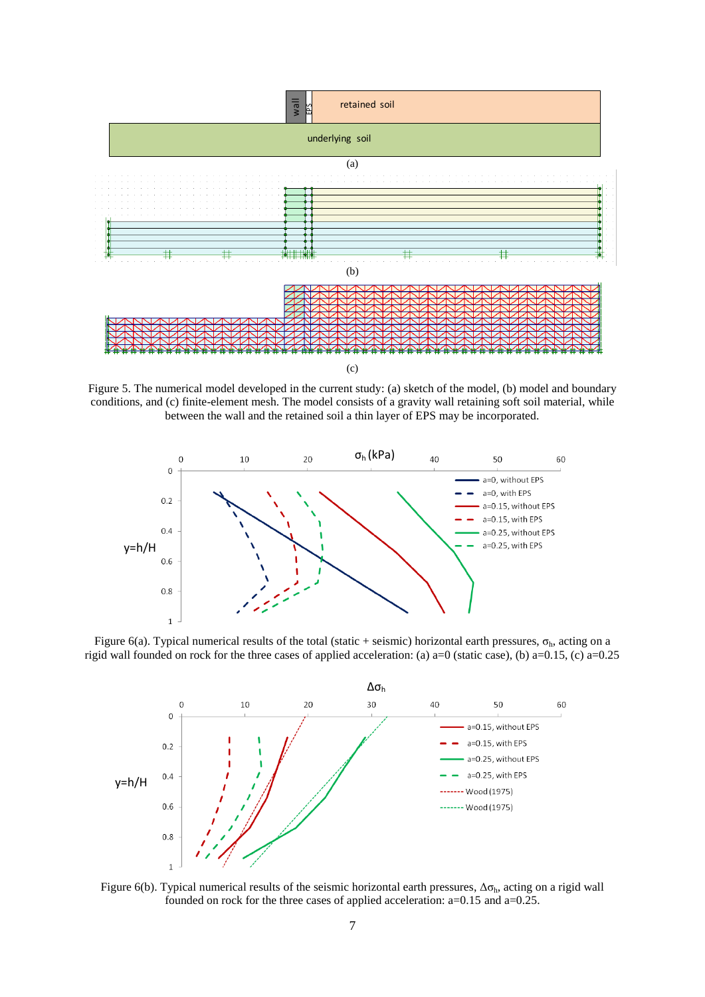

Figure 5. The numerical model developed in the current study: (a) sketch of the model, (b) model and boundary conditions, and (c) finite-element mesh. The model consists of a gravity wall retaining soft soil material, while between the wall and the retained soil a thin layer of EPS may be incorporated.



Figure 6(a). Typical numerical results of the total (static + seismic) horizontal earth pressures,  $\sigma_h$ , acting on a rigid wall founded on rock for the three cases of applied acceleration: (a) a=0 (static case), (b) a=0.15, (c) a=0.25